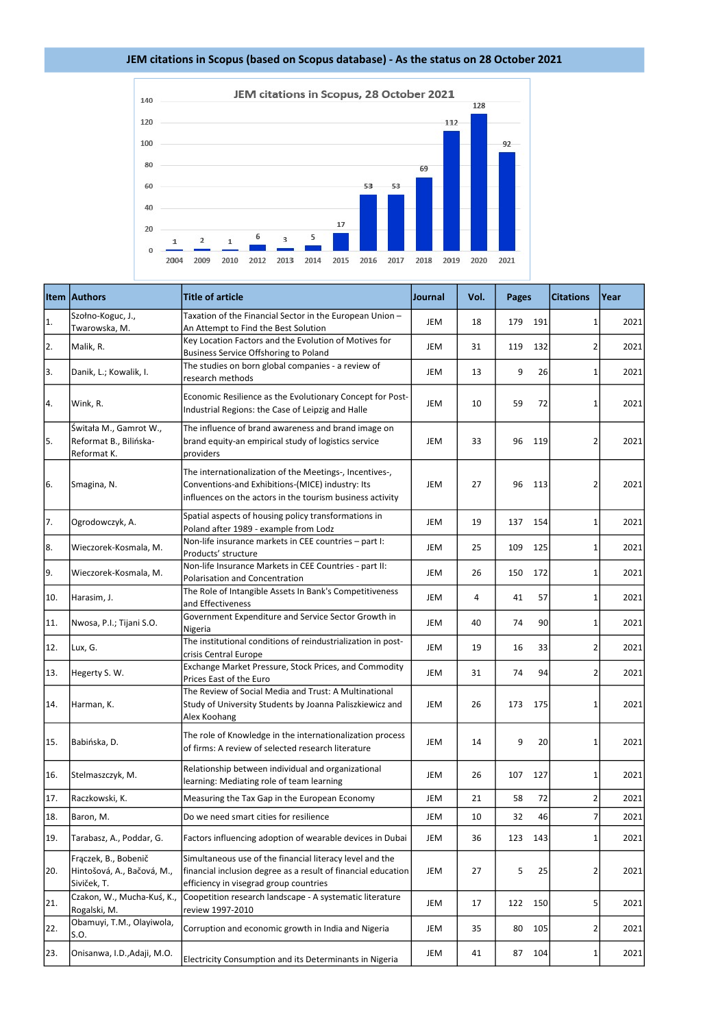|     | <b>Item Authors</b>                                               | <b>Title of article</b>                                                                                                                                                  | <b>Journal</b> | Vol. | <b>Pages</b> | <b>Citations</b> | Year |
|-----|-------------------------------------------------------------------|--------------------------------------------------------------------------------------------------------------------------------------------------------------------------|----------------|------|--------------|------------------|------|
| 1.  | Szołno-Koguc, J.,<br>Twarowska, M.                                | Taxation of the Financial Sector in the European Union -<br>An Attempt to Find the Best Solution                                                                         | JEM            | 18   | 179<br>191   | 1                | 2021 |
| 2.  | Malik, R.                                                         | Key Location Factors and the Evolution of Motives for<br><b>Business Service Offshoring to Poland</b>                                                                    | <b>JEM</b>     | 31   | 119<br>132   | 2                | 2021 |
| 3.  | Danik, L.; Kowalik, I.                                            | The studies on born global companies - a review of<br>research methods                                                                                                   | JEM            | 13   | 9<br>26      | 1                | 2021 |
| 4.  | Wink, R.                                                          | Economic Resilience as the Evolutionary Concept for Post-<br>Industrial Regions: the Case of Leipzig and Halle                                                           | JEM            | 10   | 59<br>72     |                  | 2021 |
| 5.  | Świtała M., Gamrot W.,<br>Reformat B., Bilińska-<br>Reformat K.   | The influence of brand awareness and brand image on<br>brand equity-an empirical study of logistics service<br>providers                                                 | <b>JEM</b>     | 33   | 96<br>119    | 2                | 2021 |
| 6.  | Smagina, N.                                                       | The internationalization of the Meetings-, Incentives-,<br>Conventions-and Exhibitions-(MICE) industry: Its<br>influences on the actors in the tourism business activity | JEM            | 27   | 96<br>113    | 2                | 2021 |
| 7.  | Ogrodowczyk, A.                                                   | Spatial aspects of housing policy transformations in<br>Poland after 1989 - example from Lodz                                                                            | JEM            | 19   | 137<br>154   | 1                | 2021 |
| 8.  | Wieczorek-Kosmala, M.                                             | Non-life insurance markets in CEE countries - part I:<br>Products' structure                                                                                             | <b>JEM</b>     | 25   | 109<br>125   | 1                | 2021 |
| 9.  | Wieczorek-Kosmala, M.                                             | Non-life Insurance Markets in CEE Countries - part II:<br><b>Polarisation and Concentration</b>                                                                          | JEM            | 26   | 172<br>150   | 1                | 2021 |
| 10. | Harasim, J.                                                       | The Role of Intangible Assets In Bank's Competitiveness<br>and Effectiveness                                                                                             | <b>JEM</b>     | 4    | 41<br>57     | 1                | 2021 |
| 11. | Nwosa, P.I.; Tijani S.O.                                          | Government Expenditure and Service Sector Growth in<br>Nigeria                                                                                                           | JEM            | 40   | 90<br>74     | 1                | 2021 |
| 12. | Lux, G.                                                           | The institutional conditions of reindustrialization in post-<br>crisis Central Europe                                                                                    | JEM            | 19   | 33<br>16     | $\overline{2}$   | 2021 |
| 13. | Hegerty S.W.                                                      | Exchange Market Pressure, Stock Prices, and Commodity<br>Prices East of the Euro                                                                                         | JEM            | 31   | 74<br>94     | 2                | 2021 |
| 14. | Harman, K.                                                        | The Review of Social Media and Trust: A Multinational<br>Study of University Students by Joanna Paliszkiewicz and<br>Alex Koohang                                        | JEM            | 26   | 175<br>173   | 1                | 2021 |
| 15. | Babińska, D.                                                      | The role of Knowledge in the internationalization process<br>of firms: A review of selected research literature                                                          | JEM            | 14   | 9<br>20      |                  | 2021 |
| 16. | Stelmaszczyk, M.                                                  | Relationship between individual and organizational<br>learning: Mediating role of team learning                                                                          | JEM            | 26   | 127<br>107   |                  | 2021 |
| 17. | Raczkowski, K.                                                    | Measuring the Tax Gap in the European Economy                                                                                                                            | <b>JEM</b>     | 21   | 58<br>72     | $\overline{2}$   | 2021 |
| 18. | Baron, M.                                                         | Do we need smart cities for resilience                                                                                                                                   | <b>JEM</b>     | 10   | 32<br>46     | 7                | 2021 |
| 19. | Tarabasz, A., Poddar, G.                                          | Factors influencing adoption of wearable devices in Dubai                                                                                                                | JEM            | 36   | 123<br>143   | 1                | 2021 |
| 20. | Frączek, B., Bobenič<br>Hintošová, A., Bačová, M.,<br>Siviček, T. | Simultaneous use of the financial literacy level and the<br>financial inclusion degree as a result of financial education<br>efficiency in visegrad group countries      | <b>JEM</b>     | 27   | 5<br>25      | 2                | 2021 |
| 21. | Czakon, W., Mucha-Kuś, K.,<br>Rogalski, M.                        | Coopetition research landscape - A systematic literature<br>review 1997-2010                                                                                             | JEM            | 17   | 122<br>150   | 5                | 2021 |
| 22. | Obamuyi, T.M., Olayiwola,<br>S.O.                                 | Corruption and economic growth in India and Nigeria                                                                                                                      | JEM            | 35   | 105<br>80    | 2                | 2021 |
| 23. | Onisanwa, I.D., Adaji, M.O.                                       | Electricity Consumption and its Determinants in Nigeria                                                                                                                  | JEM            | 41   | 87<br>104    | 1                | 2021 |

## JEM citations in Scopus (based on Scopus database) - As the status on 28 October 2021

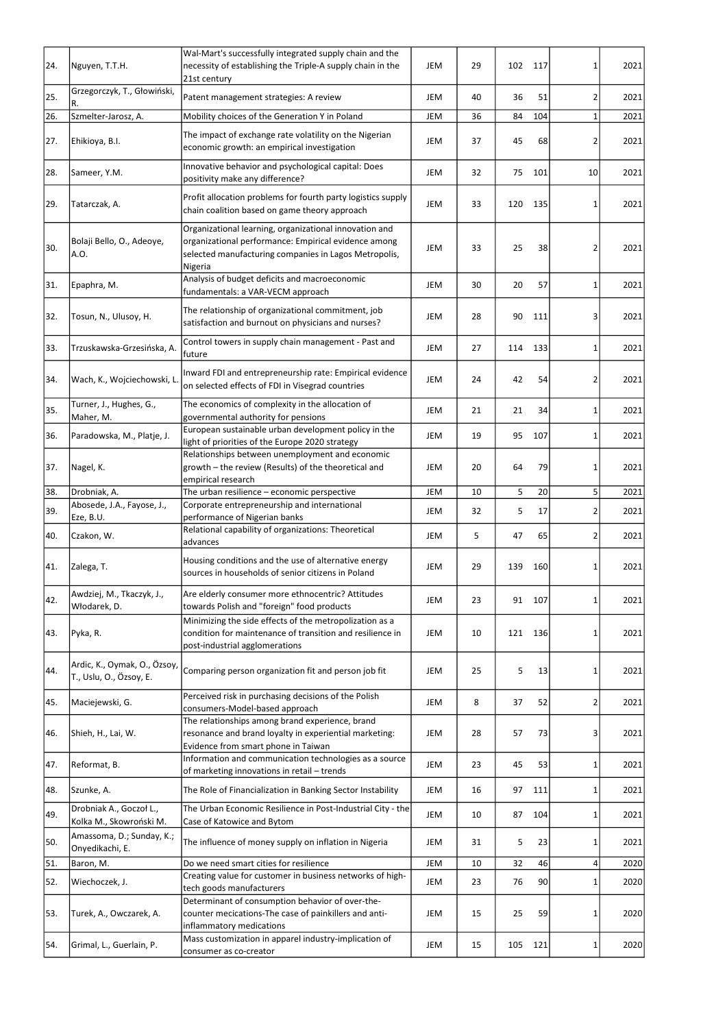| 24. | Nguyen, T.T.H.                                          | Wal-Mart's successfully integrated supply chain and the<br>necessity of establishing the Triple-A supply chain in the<br>21st century                                              | JEM        | 29 | 102 | 117 | 1               | 2021 |
|-----|---------------------------------------------------------|------------------------------------------------------------------------------------------------------------------------------------------------------------------------------------|------------|----|-----|-----|-----------------|------|
| 25. | Grzegorczyk, T., Głowiński,<br>R.                       | Patent management strategies: A review                                                                                                                                             | JEM        | 40 | 36  | 51  | $\overline{2}$  | 2021 |
| 26. | Szmelter-Jarosz, A.                                     | Mobility choices of the Generation Y in Poland                                                                                                                                     | JEM        | 36 | 84  | 104 | $\mathbf{1}$    | 2021 |
| 27. | Ehikioya, B.I.                                          | The impact of exchange rate volatility on the Nigerian<br>economic growth: an empirical investigation                                                                              | <b>JEM</b> | 37 | 45  | 68  | 2               | 2021 |
| 28. | Sameer, Y.M.                                            | Innovative behavior and psychological capital: Does<br>positivity make any difference?                                                                                             | JEM        | 32 | 75  | 101 | 10              | 2021 |
| 29. | Tatarczak, A.                                           | Profit allocation problems for fourth party logistics supply<br>chain coalition based on game theory approach                                                                      | <b>JEM</b> | 33 | 120 | 135 | 1               | 2021 |
| 30. | Bolaji Bello, O., Adeoye,<br>A.O.                       | Organizational learning, organizational innovation and<br>organizational performance: Empirical evidence among<br>selected manufacturing companies in Lagos Metropolis,<br>Nigeria | JEM        | 33 | 25  | 38  | 2               | 2021 |
| 31. | Epaphra, M.                                             | Analysis of budget deficits and macroeconomic<br>fundamentals: a VAR-VECM approach                                                                                                 | <b>JEM</b> | 30 | 20  | 57  | 1               | 2021 |
| 32. | Tosun, N., Ulusoy, H.                                   | The relationship of organizational commitment, job<br>satisfaction and burnout on physicians and nurses?                                                                           | JEM        | 28 | 90  | 111 | 3               | 2021 |
| 33. | Trzuskawska-Grzesińska, A.                              | Control towers in supply chain management - Past and<br>future                                                                                                                     | <b>JEM</b> | 27 | 114 | 133 | 1               | 2021 |
| 34. | Wach, K., Wojciechowski, L.                             | Inward FDI and entrepreneurship rate: Empirical evidence<br>on selected effects of FDI in Visegrad countries                                                                       | <b>JEM</b> | 24 | 42  | 54  | 2               | 2021 |
| 35. | Turner, J., Hughes, G.,<br>Maher, M.                    | The economics of complexity in the allocation of<br>governmental authority for pensions                                                                                            | <b>JEM</b> | 21 | 21  | 34  | 1               | 2021 |
| 36. | Paradowska, M., Platje, J.                              | European sustainable urban development policy in the<br>light of priorities of the Europe 2020 strategy                                                                            | JEM        | 19 | 95  | 107 | $\mathbf{1}$    | 2021 |
| 37. | Nagel, K.                                               | Relationships between unemployment and economic<br>growth – the review (Results) of the theoretical and<br>empirical research                                                      | <b>JEM</b> | 20 | 64  | 79  | 1               | 2021 |
| 38. | Drobniak, A.                                            | The urban resilience - economic perspective                                                                                                                                        | JEM        | 10 | 5   | 20  | 5 <sup>1</sup>  | 2021 |
| 39. | Abosede, J.A., Fayose, J.,                              | Corporate entrepreneurship and international<br>performance of Nigerian banks                                                                                                      | <b>JEM</b> | 32 | 5   | 17  | 2               | 2021 |
| 40. | Eze, B.U.<br>Czakon, W.                                 | Relational capability of organizations: Theoretical<br>advances                                                                                                                    | <b>JEM</b> | 5  | 47  | 65  | $\overline{2}$  | 2021 |
| 41. | Zalega, T.                                              | Housing conditions and the use of alternative energy<br>sources in households of senior citizens in Poland                                                                         | JEM        | 29 | 139 | 160 | 1               | 2021 |
| 42. | Awdziej, M., Tkaczyk, J.,<br>Włodarek, D.               | Are elderly consumer more ethnocentric? Attitudes<br>towards Polish and "foreign" food products                                                                                    | <b>JEM</b> | 23 | 91  | 107 | 1               | 2021 |
| 43. | Pyka, R.                                                | Minimizing the side effects of the metropolization as a<br>condition for maintenance of transition and resilience in<br>post-industrial agglomerations                             | JEM        | 10 | 121 | 136 | 1               | 2021 |
| 44. | Ardic, K., Oymak, O., Özsoy,<br>T., Uslu, O., Özsoy, E. | Comparing person organization fit and person job fit                                                                                                                               | JEM        | 25 | 5   | 13  | 1               | 2021 |
| 45. | Maciejewski, G.                                         | Perceived risk in purchasing decisions of the Polish<br>consumers-Model-based approach                                                                                             | JEM        | 8  | 37  | 52  | $\overline{2}$  | 2021 |
| 46. | Shieh, H., Lai, W.                                      | The relationships among brand experience, brand<br>resonance and brand loyalty in experiential marketing:<br>Evidence from smart phone in Taiwan                                   | JEM        | 28 | 57  | 73  | 3               | 2021 |
| 47. | Reformat, B.                                            | Information and communication technologies as a source<br>of marketing innovations in retail - trends                                                                              | JEM        | 23 | 45  | 53  | 1               | 2021 |
| 48. | Szunke, A.                                              | The Role of Financialization in Banking Sector Instability                                                                                                                         | JEM        | 16 | 97  | 111 | 1               | 2021 |
| 49. | Drobniak A., Goczoł L.,<br>Kolka M., Skowroński M.      | The Urban Economic Resilience in Post-Industrial City - the<br>Case of Katowice and Bytom                                                                                          | JEM        | 10 | 87  | 104 | 1               | 2021 |
| 50. | Amassoma, D.; Sunday, K.;<br>Onyedikachi, E.            | The influence of money supply on inflation in Nigeria                                                                                                                              | JEM        | 31 | 5   | 23  | 1               | 2021 |
| 51. | Baron, M.                                               | Do we need smart cities for resilience                                                                                                                                             | JEM        | 10 | 32  | 46  | $\vert 4 \vert$ | 2020 |
| 52. | Wiechoczek, J.                                          | Creating value for customer in business networks of high-<br>tech goods manufacturers                                                                                              | JEM        | 23 | 76  | 90  | 1               | 2020 |
| 53. | Turek, A., Owczarek, A.                                 | Determinant of consumption behavior of over-the-<br>counter mecications-The case of painkillers and anti-<br>inflammatory medications                                              | JEM        | 15 | 25  | 59  | 1               | 2020 |
| 54. | Grimal, L., Guerlain, P.                                | Mass customization in apparel industry-implication of<br>consumer as co-creator                                                                                                    | JEM        | 15 | 105 | 121 | 1               | 2020 |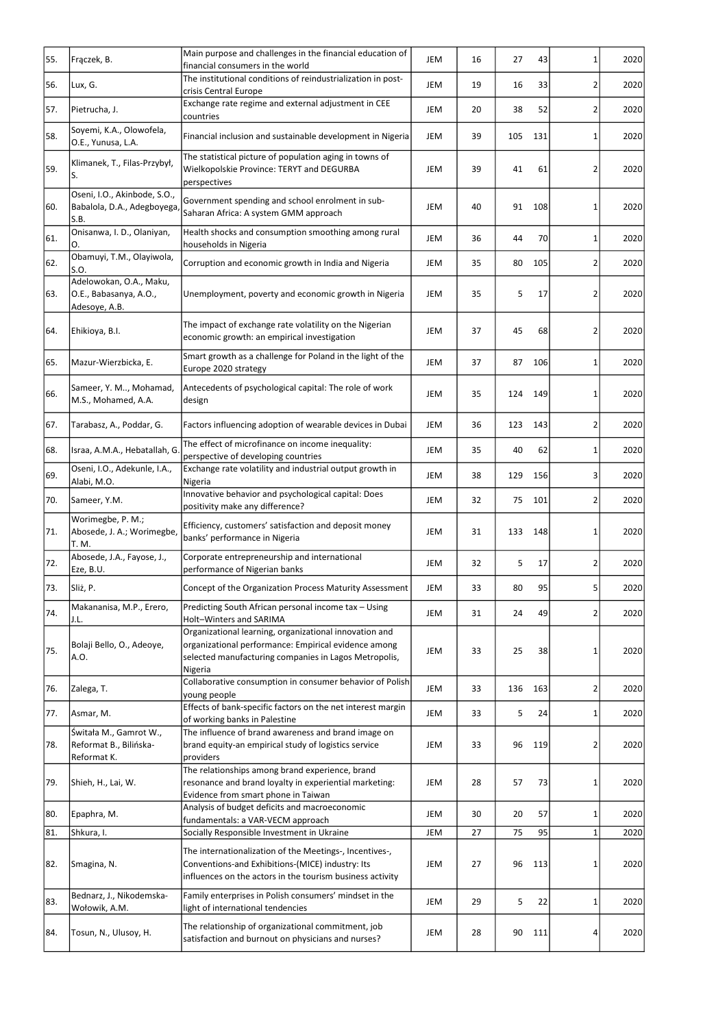|     |                                                                     | Main purpose and challenges in the financial education of                                                                                                                          |            |    |     |     |                |      |
|-----|---------------------------------------------------------------------|------------------------------------------------------------------------------------------------------------------------------------------------------------------------------------|------------|----|-----|-----|----------------|------|
| 55. | Frączek, B.                                                         | financial consumers in the world                                                                                                                                                   | JEM        | 16 | 27  | 43  | 1              | 2020 |
| 56. | Lux, G.                                                             | The institutional conditions of reindustrialization in post-<br>crisis Central Europe                                                                                              | JEM        | 19 | 16  | 33  | 2              | 2020 |
| 57. | Pietrucha, J.                                                       | Exchange rate regime and external adjustment in CEE<br>countries                                                                                                                   | JEM        | 20 | 38  | 52  | $\overline{2}$ | 2020 |
| 58. | Soyemi, K.A., Olowofela,<br>O.E., Yunusa, L.A.                      | Financial inclusion and sustainable development in Nigeria                                                                                                                         | JEM        | 39 | 105 | 131 | 1              | 2020 |
| 59. | Klimanek, T., Filas-Przybył,<br>lS.                                 | The statistical picture of population aging in towns of<br>Wielkopolskie Province: TERYT and DEGURBA<br>perspectives                                                               | <b>JEM</b> | 39 | 41  | 61  | 2              | 2020 |
| 60. | Oseni, I.O., Akinbode, S.O.,<br>Babalola, D.A., Adegboyega,<br>S.B. | Government spending and school enrolment in sub-<br>Saharan Africa: A system GMM approach                                                                                          | <b>JEM</b> | 40 | 91  | 108 | 1              | 2020 |
| 61. | Onisanwa, I. D., Olaniyan,<br>О.                                    | Health shocks and consumption smoothing among rural<br>households in Nigeria                                                                                                       | JEM        | 36 | 44  | 70  | 1              | 2020 |
| 62. | Obamuyi, T.M., Olayiwola,<br>ls.o.                                  | Corruption and economic growth in India and Nigeria                                                                                                                                | <b>JEM</b> | 35 | 80  | 105 | 2              | 2020 |
| 63. | Adelowokan, O.A., Maku,<br>O.E., Babasanya, A.O.,<br>Adesoye, A.B.  | Unemployment, poverty and economic growth in Nigeria                                                                                                                               | <b>JEM</b> | 35 | 5   | 17  | 2              | 2020 |
| 64. | Ehikioya, B.I.                                                      | The impact of exchange rate volatility on the Nigerian<br>economic growth: an empirical investigation                                                                              | <b>JEM</b> | 37 | 45  | 68  | 2              | 2020 |
| 65. | Mazur-Wierzbicka, E.                                                | Smart growth as a challenge for Poland in the light of the<br>Europe 2020 strategy                                                                                                 | JEM        | 37 | 87  | 106 | 1              | 2020 |
| 66. | Sameer, Y. M, Mohamad,<br>M.S., Mohamed, A.A.                       | Antecedents of psychological capital: The role of work<br>design                                                                                                                   | JEM        | 35 | 124 | 149 | 1              | 2020 |
| 67. | Tarabasz, A., Poddar, G.                                            | Factors influencing adoption of wearable devices in Dubai                                                                                                                          | JEM        | 36 | 123 | 143 | $\overline{2}$ | 2020 |
| 68. | Israa, A.M.A., Hebatallah, G.                                       | The effect of microfinance on income inequality:<br>perspective of developing countries                                                                                            | JEM        | 35 | 40  | 62  | 1              | 2020 |
| 69. | Oseni, I.O., Adekunle, I.A.,<br>Alabi, M.O.                         | Exchange rate volatility and industrial output growth in<br>Nigeria                                                                                                                | JEM        | 38 | 129 | 156 | 3              | 2020 |
| 70. | Sameer, Y.M.                                                        | Innovative behavior and psychological capital: Does<br>positivity make any difference?                                                                                             | JEM        | 32 | 75  | 101 | $\overline{2}$ | 2020 |
| 71. | Worimegbe, P. M.;<br>Abosede, J. A.; Worimegbe,<br>T. M.            | Efficiency, customers' satisfaction and deposit money<br>banks' performance in Nigeria                                                                                             | JEM        | 31 | 133 | 148 | 1              | 2020 |
| 72. | Abosede, J.A., Fayose, J.,<br>Eze, B.U.                             | Corporate entrepreneurship and international<br>performance of Nigerian banks                                                                                                      | JEM        | 32 | 5   | 17  | $\overline{2}$ | 2020 |
| 73. | Sliż, P.                                                            | Concept of the Organization Process Maturity Assessment                                                                                                                            | <b>JEM</b> | 33 | 80  | 95  | 5              | 2020 |
| 74. | Makananisa, M.P., Erero,<br>J.L.                                    | Predicting South African personal income tax - Using<br>Holt-Winters and SARIMA                                                                                                    | JEM        | 31 | 24  | 49  | 2              | 2020 |
| 75. | Bolaji Bello, O., Adeoye,<br>A.O.                                   | Organizational learning, organizational innovation and<br>organizational performance: Empirical evidence among<br>selected manufacturing companies in Lagos Metropolis,<br>Nigeria | JEM        | 33 | 25  | 38  | 1              | 2020 |
| 76. | Zalega, T.                                                          | Collaborative consumption in consumer behavior of Polish<br>young people                                                                                                           | JEM        | 33 | 136 | 163 | 2              | 2020 |
| 77. | Asmar, M.                                                           | Effects of bank-specific factors on the net interest margin<br>of working banks in Palestine                                                                                       | JEM        | 33 | 5   | 24  | 1              | 2020 |
| 78. | Świtała M., Gamrot W.,<br>Reformat B., Bilińska-<br>Reformat K.     | The influence of brand awareness and brand image on<br>brand equity-an empirical study of logistics service<br>providers                                                           | JEM        | 33 | 96  | 119 | 2              | 2020 |
| 79. | Shieh, H., Lai, W.                                                  | The relationships among brand experience, brand<br>resonance and brand loyalty in experiential marketing:<br>Evidence from smart phone in Taiwan                                   | JEM        | 28 | 57  | 73  | 1              | 2020 |
| 80. | Epaphra, M.                                                         | Analysis of budget deficits and macroeconomic<br>fundamentals: a VAR-VECM approach                                                                                                 | <b>JEM</b> | 30 | 20  | 57  | 1              | 2020 |
| 81. | Shkura, I.                                                          | Socially Responsible Investment in Ukraine                                                                                                                                         | JEM        | 27 | 75  | 95  | 1              | 2020 |
| 82. | Smagina, N.                                                         | The internationalization of the Meetings-, Incentives-,<br>Conventions-and Exhibitions-(MICE) industry: Its<br>influences on the actors in the tourism business activity           | JEM        | 27 | 96  | 113 | 1              | 2020 |
| 83. | Bednarz, J., Nikodemska-<br>Wołowik, A.M.                           | Family enterprises in Polish consumers' mindset in the<br>light of international tendencies                                                                                        | JEM        | 29 | 5   | 22  | $\mathbf{1}$   | 2020 |
| 84. | Tosun, N., Ulusoy, H.                                               | The relationship of organizational commitment, job<br>satisfaction and burnout on physicians and nurses?                                                                           | JEM        | 28 | 90  | 111 | 4              | 2020 |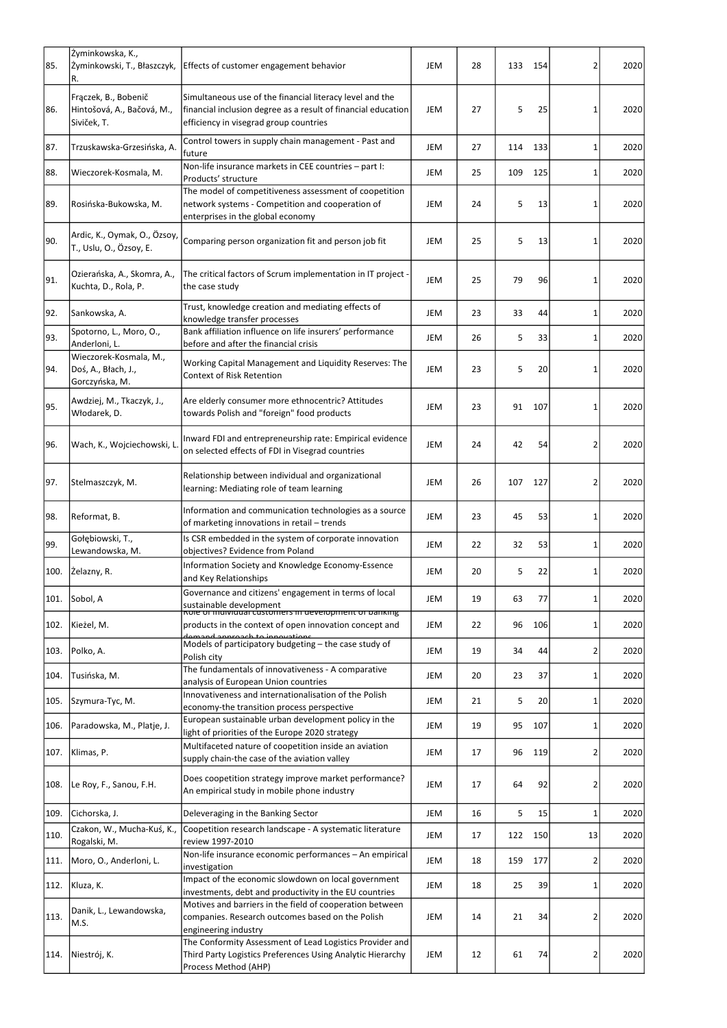|      | Żyminkowska, K.,                                                  |                                                                                                                                                                     |            |    |     |     |                |      |
|------|-------------------------------------------------------------------|---------------------------------------------------------------------------------------------------------------------------------------------------------------------|------------|----|-----|-----|----------------|------|
| 85.  | Żyminkowski, T., Błaszczyk,<br>R.                                 | Effects of customer engagement behavior                                                                                                                             | <b>JEM</b> | 28 | 133 | 154 | 2              | 2020 |
| 86.  | Frączek, B., Bobenič<br>Hintošová, A., Bačová, M.,<br>Siviček, T. | Simultaneous use of the financial literacy level and the<br>financial inclusion degree as a result of financial education<br>efficiency in visegrad group countries | JEM        | 27 | 5   | 25  | 1              | 2020 |
| 87.  | Trzuskawska-Grzesińska, A.                                        | Control towers in supply chain management - Past and<br>future                                                                                                      | <b>JEM</b> | 27 | 114 | 133 | 1              | 2020 |
| 88.  | Wieczorek-Kosmala, M.                                             | Non-life insurance markets in CEE countries - part I:<br>Products' structure                                                                                        | <b>JEM</b> | 25 | 109 | 125 | 1              | 2020 |
| 89.  | Rosińska-Bukowska, M.                                             | The model of competitiveness assessment of coopetition<br>network systems - Competition and cooperation of<br>enterprises in the global economy                     | <b>JEM</b> | 24 | 5   | 13  | 1              | 2020 |
| 90.  | Ardic, K., Oymak, O., Özsoy,<br>T., Uslu, O., Özsoy, E.           | Comparing person organization fit and person job fit                                                                                                                | <b>JEM</b> | 25 | 5   | 13  | 1              | 2020 |
| 91.  | Ozierańska, A., Skomra, A.,<br>Kuchta, D., Rola, P.               | The critical factors of Scrum implementation in IT project -<br>the case study                                                                                      | <b>JEM</b> | 25 | 79  | 96  | 1              | 2020 |
| 92.  | Sankowska, A.                                                     | Trust, knowledge creation and mediating effects of<br>knowledge transfer processes                                                                                  | JEM        | 23 | 33  | 44  | 1              | 2020 |
| 93.  | Spotorno, L., Moro, O.,<br>Anderloni, L.                          | Bank affiliation influence on life insurers' performance<br>before and after the financial crisis                                                                   | <b>JEM</b> | 26 | 5   | 33  | 1              | 2020 |
| 94.  | Wieczorek-Kosmala, M.,<br>Doś, A., Błach, J.,<br>Gorczyńska, M.   | Working Capital Management and Liquidity Reserves: The<br><b>Context of Risk Retention</b>                                                                          | <b>JEM</b> | 23 | 5   | 20  | 1              | 2020 |
| 95.  | Awdziej, M., Tkaczyk, J.,<br>Włodarek, D.                         | Are elderly consumer more ethnocentric? Attitudes<br>towards Polish and "foreign" food products                                                                     | <b>JEM</b> | 23 | 91  | 107 | 1              | 2020 |
| 96.  | Wach, K., Wojciechowski, L                                        | Inward FDI and entrepreneurship rate: Empirical evidence<br>on selected effects of FDI in Visegrad countries                                                        | <b>JEM</b> | 24 | 42  | 54  | $\overline{2}$ | 2020 |
| 97.  | Stelmaszczyk, M.                                                  | Relationship between individual and organizational<br>learning: Mediating role of team learning                                                                     | <b>JEM</b> | 26 | 107 | 127 | 2              | 2020 |
| 98.  | Reformat, B.                                                      | Information and communication technologies as a source<br>of marketing innovations in retail - trends                                                               | <b>JEM</b> | 23 | 45  | 53  | 1              | 2020 |
| 99.  | Gołębiowski, T.,<br>Lewandowska, M.                               | Is CSR embedded in the system of corporate innovation<br>objectives? Evidence from Poland                                                                           | <b>JEM</b> | 22 | 32  | 53  | 1              | 2020 |
| 100. | Zelazny, R.                                                       | Information Society and Knowledge Economy-Essence<br>and Key Relationships                                                                                          | <b>JEM</b> | 20 | 5   | 22  | 1              | 2020 |
| 101. | Sobol, A                                                          | Governance and citizens' engagement in terms of local<br>sustainable development                                                                                    | <b>JEM</b> | 19 | 63  | 77  | 1              | 2020 |
| 102. | Kieżel, M.                                                        | Role of individual customers in development of panking<br>products in the context of open innovation concept and<br>demand annoach to innovations                   | <b>JEM</b> | 22 | 96  | 106 | 1              | 2020 |
| 103. | Polko, A.                                                         | Models of participatory budgeting - the case study of<br>Polish city                                                                                                | <b>JEM</b> | 19 | 34  | 44  | 2              | 2020 |
| 104. | Tusińska, M.                                                      | The fundamentals of innovativeness - A comparative<br>analysis of European Union countries                                                                          | <b>JEM</b> | 20 | 23  | 37  | 1              | 2020 |
| 105. | Szymura-Tyc, M.                                                   | Innovativeness and internationalisation of the Polish<br>economy-the transition process perspective                                                                 | <b>JEM</b> | 21 | 5   | 20  | 1              | 2020 |
| 106. | Paradowska, M., Platje, J.                                        | European sustainable urban development policy in the<br>light of priorities of the Europe 2020 strategy                                                             | <b>JEM</b> | 19 | 95  | 107 | 1              | 2020 |
| 107. | Klimas, P.                                                        | Multifaceted nature of coopetition inside an aviation<br>supply chain-the case of the aviation valley                                                               | JEM        | 17 | 96  | 119 | 2              | 2020 |
| 108. | Le Roy, F., Sanou, F.H.                                           | Does coopetition strategy improve market performance?<br>An empirical study in mobile phone industry                                                                | JEM        | 17 | 64  | 92  | 2              | 2020 |
| 109. | Cichorska, J.                                                     | Deleveraging in the Banking Sector                                                                                                                                  | JEM        | 16 | 5   | 15  | 1              | 2020 |
| 110. | Czakon, W., Mucha-Kuś, K.,<br>Rogalski, M.                        | Coopetition research landscape - A systematic literature<br>review 1997-2010                                                                                        | JEM        | 17 | 122 | 150 | 13             | 2020 |
| 111. | Moro, O., Anderloni, L.                                           | Non-life insurance economic performances - An empirical<br>investigation                                                                                            | JEM        | 18 | 159 | 177 | $\overline{2}$ | 2020 |
| 112. | Kluza, K.                                                         | Impact of the economic slowdown on local government<br>investments, debt and productivity in the EU countries                                                       | JEM        | 18 | 25  | 39  | $\mathbf{1}$   | 2020 |
| 113. | Danik, L., Lewandowska,<br>M.S.                                   | Motives and barriers in the field of cooperation between<br>companies. Research outcomes based on the Polish<br>engineering industry                                | JEM        | 14 | 21  | 34  | $\overline{2}$ | 2020 |
| 114. | Niestrój, K.                                                      | The Conformity Assessment of Lead Logistics Provider and<br>Third Party Logistics Preferences Using Analytic Hierarchy<br>Process Method (AHP)                      | JEM        | 12 | 61  | 74  | $\overline{2}$ | 2020 |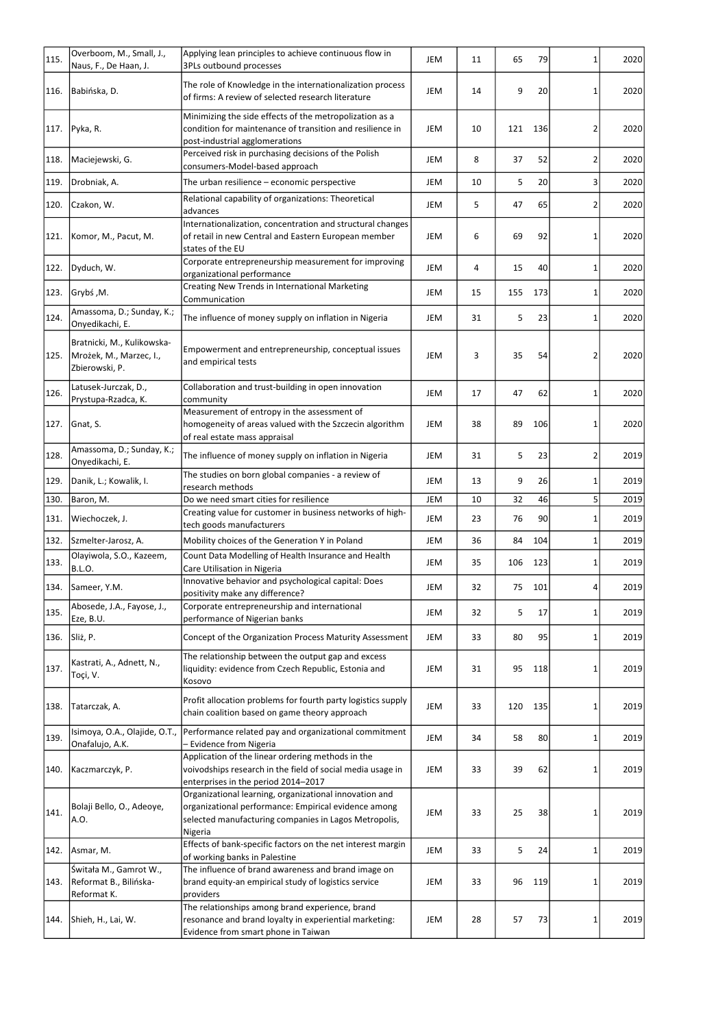| 115. | Overboom, M., Small, J.,<br>Naus, F., De Haan, J.                       | Applying lean principles to achieve continuous flow in<br>3PLs outbound processes                                                                                                  | JEM        | 11 | 65  | 79  | 1              | 2020 |
|------|-------------------------------------------------------------------------|------------------------------------------------------------------------------------------------------------------------------------------------------------------------------------|------------|----|-----|-----|----------------|------|
| 116. | Babińska, D.                                                            | The role of Knowledge in the internationalization process<br>of firms: A review of selected research literature                                                                    | JEM        | 14 | 9   | 20  | 1              | 2020 |
| 117. | Pyka, R.                                                                | Minimizing the side effects of the metropolization as a<br>condition for maintenance of transition and resilience in<br>post-industrial agglomerations                             | JEM        | 10 | 121 | 136 | 2              | 2020 |
| 118. | Maciejewski, G.                                                         | Perceived risk in purchasing decisions of the Polish<br>consumers-Model-based approach                                                                                             | JEM        | 8  | 37  | 52  | $\overline{2}$ | 2020 |
| 119. | Drobniak, A.                                                            | The urban resilience - economic perspective                                                                                                                                        | <b>JEM</b> | 10 | 5   | 20  | 3              | 2020 |
| 120. | Czakon, W.                                                              | Relational capability of organizations: Theoretical<br>advances                                                                                                                    | JEM        | 5  | 47  | 65  | 2              | 2020 |
| 121. | Komor, M., Pacut, M.                                                    | Internationalization, concentration and structural changes<br>of retail in new Central and Eastern European member<br>states of the EU                                             | JEM        | 6  | 69  | 92  | 1              | 2020 |
| 122. | Dyduch, W.                                                              | Corporate entrepreneurship measurement for improving<br>organizational performance                                                                                                 | JEM        | 4  | 15  | 40  | 1              | 2020 |
| 123. | JGrybś, M.                                                              | <b>Creating New Trends in International Marketing</b><br>Communication                                                                                                             | JEM        | 15 | 155 | 173 | 1              | 2020 |
| 124. | Amassoma, D.; Sunday, K.;<br>Onyedikachi, E.                            | The influence of money supply on inflation in Nigeria                                                                                                                              | JEM        | 31 | 5   | 23  | 1              | 2020 |
| 125. | Bratnicki, M., Kulikowska-<br>Mrożek, M., Marzec, I.,<br>Zbierowski, P. | Empowerment and entrepreneurship, conceptual issues<br>and empirical tests                                                                                                         | <b>JEM</b> | 3  | 35  | 54  | 2              | 2020 |
| 126. | Latusek-Jurczak, D.,<br>Prystupa-Rzadca, K.                             | Collaboration and trust-building in open innovation<br>community                                                                                                                   | JEM        | 17 | 47  | 62  | $\mathbf{1}$   | 2020 |
|      | 127. Gnat, S.                                                           | Measurement of entropy in the assessment of<br>homogeneity of areas valued with the Szczecin algorithm<br>of real estate mass appraisal                                            | JEM        | 38 | 89  | 106 | 1              | 2020 |
| 128. | Amassoma, D.; Sunday, K.;<br>Onyedikachi, E.                            | The influence of money supply on inflation in Nigeria                                                                                                                              | JEM        | 31 | 5   | 23  | 2              | 2019 |
| 129. | Danik, L.; Kowalik, I.                                                  | The studies on born global companies - a review of<br>research methods                                                                                                             | JEM        | 13 | 9   | 26  | 1              | 2019 |
| 130. | Baron, M.                                                               | Do we need smart cities for resilience                                                                                                                                             | <b>JEM</b> | 10 | 32  | 46  | 5 <sup>1</sup> | 2019 |
| 131. | Wiechoczek, J.                                                          | Creating value for customer in business networks of high-<br>tech goods manufacturers                                                                                              | JEM        | 23 | 76  | 90  | 1              | 2019 |
| 132. | Szmelter-Jarosz, A.                                                     | Mobility choices of the Generation Y in Poland                                                                                                                                     | JEM        | 36 | 84  | 104 | $\mathbf{1}$   | 2019 |
| 133. | Olayiwola, S.O., Kazeem,<br>B.L.O.                                      | Count Data Modelling of Health Insurance and Health<br>Care Utilisation in Nigeria                                                                                                 | JEM        | 35 | 106 | 123 | 1              | 2019 |
| 134. | Sameer, Y.M.                                                            | Innovative behavior and psychological capital: Does<br>positivity make any difference?                                                                                             | JEM        | 32 | 75  | 101 | 4              | 2019 |
| 135. | Abosede, J.A., Fayose, J.,<br>Eze, B.U.                                 | Corporate entrepreneurship and international<br>performance of Nigerian banks                                                                                                      | JEM        | 32 | 5   | 17  | 1              | 2019 |
| 136. | Sliż, P.                                                                | Concept of the Organization Process Maturity Assessment                                                                                                                            | JEM        | 33 | 80  | 95  | 1              | 2019 |
| 137. | Kastrati, A., Adnett, N.,<br>Toçi, V.                                   | The relationship between the output gap and excess<br>liquidity: evidence from Czech Republic, Estonia and<br>Kosovo                                                               | JEM        | 31 | 95  | 118 | 1              | 2019 |
| 138. | Tatarczak, A.                                                           | Profit allocation problems for fourth party logistics supply<br>chain coalition based on game theory approach                                                                      | JEM        | 33 | 120 | 135 |                | 2019 |
| 139. | Isimoya, O.A., Olajide, O.T.,<br>Onafalujo, A.K.                        | Performance related pay and organizational commitment<br>- Evidence from Nigeria                                                                                                   | <b>JEM</b> | 34 | 58  | 80  | 1              | 2019 |
| 140. | Kaczmarczyk, P.                                                         | Application of the linear ordering methods in the<br>voivodships research in the field of social media usage in<br>enterprises in the period 2014-2017                             | JEM        | 33 | 39  | 62  |                | 2019 |
| 141. | Bolaji Bello, O., Adeoye,<br>A.O.                                       | Organizational learning, organizational innovation and<br>organizational performance: Empirical evidence among<br>selected manufacturing companies in Lagos Metropolis,<br>Nigeria | JEM        | 33 | 25  | 38  | 1              | 2019 |
|      | 142. Asmar, M.                                                          | Effects of bank-specific factors on the net interest margin<br>of working banks in Palestine                                                                                       | JEM        | 33 | 5   | 24  | $\mathbf{1}$   | 2019 |
| 143. | Świtała M., Gamrot W.,<br>Reformat B., Bilińska-<br>Reformat K.         | The influence of brand awareness and brand image on<br>brand equity-an empirical study of logistics service<br>providers                                                           | JEM        | 33 | 96  | 119 | 1              | 2019 |
| 144. | Shieh, H., Lai, W.                                                      | The relationships among brand experience, brand<br>resonance and brand loyalty in experiential marketing:<br>Evidence from smart phone in Taiwan                                   | JEM        | 28 | 57  | 73  | 1              | 2019 |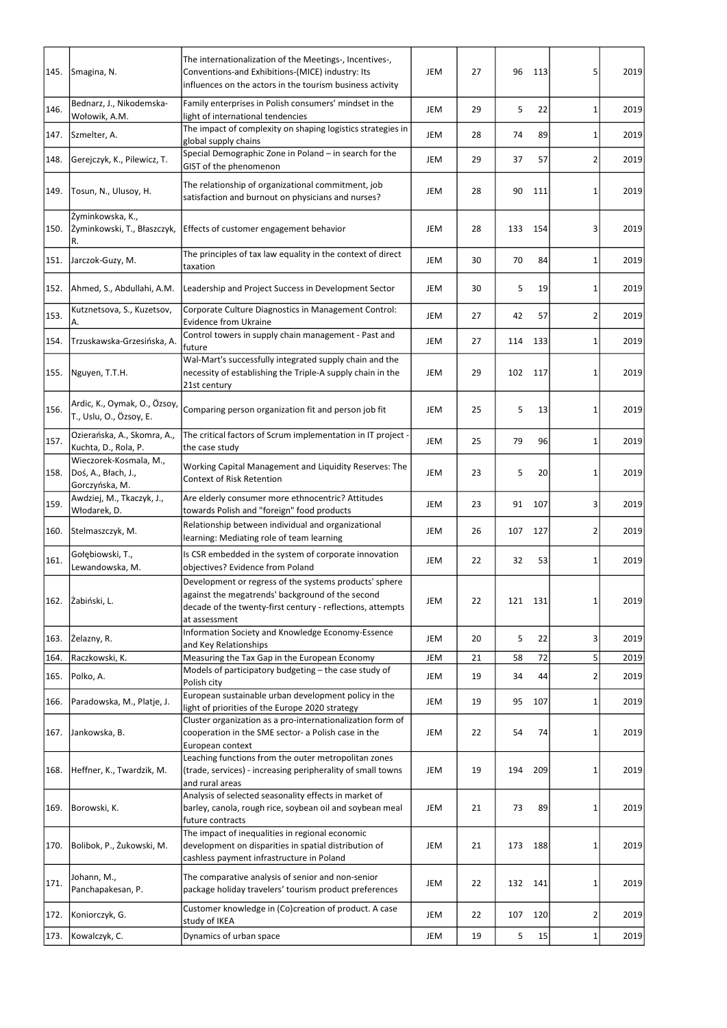| 145. | Smagina, N.                                                     | The internationalization of the Meetings-, Incentives-,<br>Conventions-and Exhibitions-(MICE) industry: Its<br>influences on the actors in the tourism business activity                  | <b>JEM</b> | 27 | 96  | 113 | 5              | 2019 |
|------|-----------------------------------------------------------------|-------------------------------------------------------------------------------------------------------------------------------------------------------------------------------------------|------------|----|-----|-----|----------------|------|
| 146. | Bednarz, J., Nikodemska-<br>Wołowik, A.M.                       | Family enterprises in Polish consumers' mindset in the<br>light of international tendencies                                                                                               | <b>JEM</b> | 29 | 5   | 22  | 1              | 2019 |
| 147. | Szmelter, A.                                                    | The impact of complexity on shaping logistics strategies in<br>global supply chains                                                                                                       | JEM        | 28 | 74  | 89  | 1              | 2019 |
| 148. | Gerejczyk, K., Pilewicz, T.                                     | Special Demographic Zone in Poland - in search for the<br>GIST of the phenomenon                                                                                                          | JEM        | 29 | 37  | 57  | 2              | 2019 |
| 149. | Tosun, N., Ulusoy, H.                                           | The relationship of organizational commitment, job<br>satisfaction and burnout on physicians and nurses?                                                                                  | <b>JEM</b> | 28 | 90  | 111 | 1              | 2019 |
| 150. | Żyminkowska, K.,<br>Żyminkowski, T., Błaszczyk,<br>R.           | Effects of customer engagement behavior                                                                                                                                                   | JEM        | 28 | 133 | 154 | 3              | 2019 |
| 151. | Jarczok-Guzy, M.                                                | The principles of tax law equality in the context of direct<br>taxation                                                                                                                   | <b>JEM</b> | 30 | 70  | 84  | $\mathbf{1}$   | 2019 |
| 152. | Ahmed, S., Abdullahi, A.M.                                      | Leadership and Project Success in Development Sector                                                                                                                                      | JEM        | 30 | 5   | 19  | 1              | 2019 |
| 153. | Kutznetsova, S., Kuzetsov,<br>A.                                | Corporate Culture Diagnostics in Management Control:<br><b>Evidence from Ukraine</b>                                                                                                      | <b>JEM</b> | 27 | 42  | 57  | $\overline{2}$ | 2019 |
| 154. | Trzuskawska-Grzesińska, A.                                      | Control towers in supply chain management - Past and<br>future                                                                                                                            | JEM        | 27 | 114 | 133 | $1\vert$       | 2019 |
| 155. | Nguyen, T.T.H.                                                  | Wal-Mart's successfully integrated supply chain and the<br>necessity of establishing the Triple-A supply chain in the<br>21st century                                                     | JEM        | 29 | 102 | 117 | 1              | 2019 |
| 156. | Ardic, K., Oymak, O., Özsoy,<br>T., Uslu, O., Özsoy, E.         | Comparing person organization fit and person job fit                                                                                                                                      | JEM        | 25 | 5   | 13  | 1              | 2019 |
| 157. | Ozierańska, A., Skomra, A.,<br>Kuchta, D., Rola, P.             | The critical factors of Scrum implementation in IT project -<br>the case study                                                                                                            | JEM        | 25 | 79  | 96  | 1              | 2019 |
| 158. | Wieczorek-Kosmala, M.,<br>Doś, A., Błach, J.,<br>Gorczyńska, M. | Working Capital Management and Liquidity Reserves: The<br><b>Context of Risk Retention</b>                                                                                                | JEM        | 23 | 5   | 20  | 1              | 2019 |
| 159. | Awdziej, M., Tkaczyk, J.,<br>Włodarek, D.                       | Are elderly consumer more ethnocentric? Attitudes<br>towards Polish and "foreign" food products                                                                                           | <b>JEM</b> | 23 | 91  | 107 | 3              | 2019 |
| 160. | Stelmaszczyk, M.                                                | Relationship between individual and organizational<br>learning: Mediating role of team learning                                                                                           | <b>JEM</b> | 26 | 107 | 127 | 2              | 2019 |
| 161. | Gołębiowski, T.,<br>Lewandowska, M.                             | Is CSR embedded in the system of corporate innovation<br>objectives? Evidence from Poland                                                                                                 | JEM        | 22 | 32  | 53  | 1              | 2019 |
| 162. | Zabiński, L.                                                    | Development or regress of the systems products' sphere<br>against the megatrends' background of the second<br>decade of the twenty-first century - reflections, attempts<br>at assessment | JEM        | 22 | 121 | 131 | 1              | 2019 |
| 163. | Zelazny, R.                                                     | Information Society and Knowledge Economy-Essence<br>and Key Relationships                                                                                                                | <b>JEM</b> | 20 | 5   | 22  | 3              | 2019 |
| 164. | Raczkowski, K.                                                  | Measuring the Tax Gap in the European Economy                                                                                                                                             | JEM        | 21 | 58  | 72  | 5 <sup>1</sup> | 2019 |
| 165. | Polko, A.                                                       | Models of participatory budgeting - the case study of<br>Polish city                                                                                                                      | JEM        | 19 | 34  | 44  | $\overline{2}$ | 2019 |
| 166. | Paradowska, M., Platje, J.                                      | European sustainable urban development policy in the<br>light of priorities of the Europe 2020 strategy                                                                                   | JEM        | 19 | 95  | 107 | 1              | 2019 |
| 167. | Jankowska, B.                                                   | Cluster organization as a pro-internationalization form of<br>cooperation in the SME sector- a Polish case in the<br>European context                                                     | JEM        | 22 | 54  | 74  | 1              | 2019 |
| 168. | Heffner, K., Twardzik, M.                                       | Leaching functions from the outer metropolitan zones<br>(trade, services) - increasing peripherality of small towns<br>and rural areas                                                    | JEM        | 19 | 194 | 209 | 1              | 2019 |
| 169. | Borowski, K.                                                    | Analysis of selected seasonality effects in market of<br>barley, canola, rough rice, soybean oil and soybean meal<br>future contracts                                                     | JEM        | 21 | 73  | 89  | 1              | 2019 |
| 170. | Bolibok, P., Żukowski, M.                                       | The impact of inequalities in regional economic<br>development on disparities in spatial distribution of<br>cashless payment infrastructure in Poland                                     | JEM        | 21 | 173 | 188 | $\mathbf{1}$   | 2019 |
| 171. | Johann, M.,<br>Panchapakesan, P.                                | The comparative analysis of senior and non-senior<br>package holiday travelers' tourism product preferences                                                                               | JEM        | 22 | 132 | 141 | 1              | 2019 |
| 172. | Koniorczyk, G.                                                  | Customer knowledge in (Co)creation of product. A case<br>study of IKEA                                                                                                                    | JEM        | 22 | 107 | 120 | $\overline{2}$ | 2019 |
| 173. | Kowalczyk, C.                                                   | Dynamics of urban space                                                                                                                                                                   | JEM        | 19 | 5   | 15  | $\mathbf{1}$   | 2019 |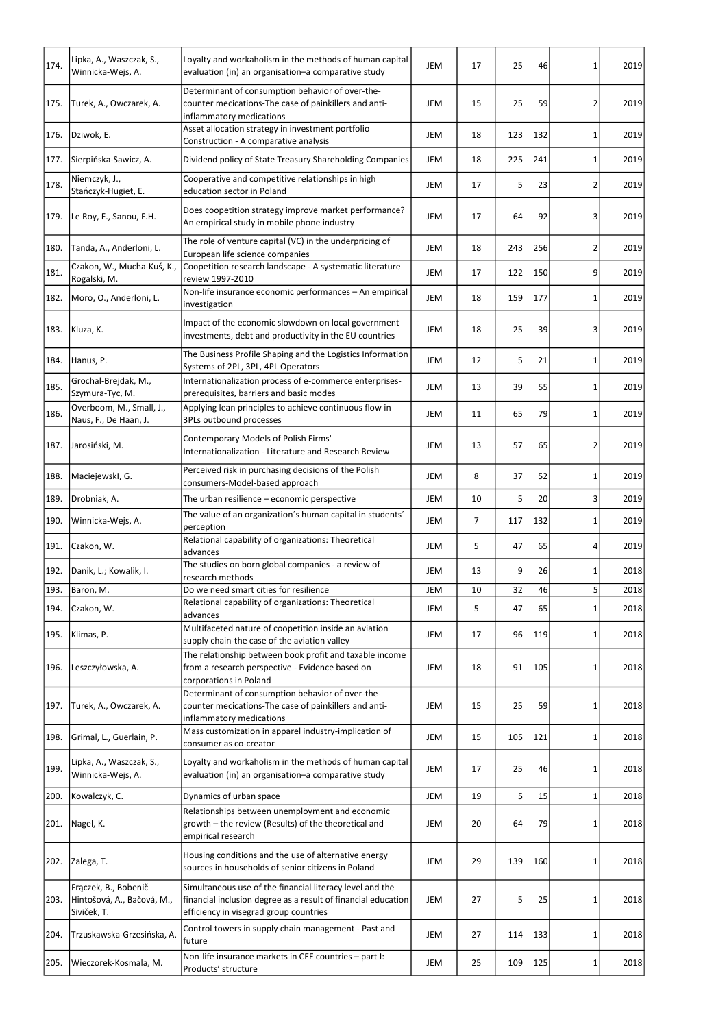| 174. | Lipka, A., Waszczak, S.,<br>Winnicka-Wejs, A.                     | Loyalty and workaholism in the methods of human capital<br>evaluation (in) an organisation-a comparative study                                                      | <b>JEM</b> | 17             | 25  | 46  | 1               | 2019 |
|------|-------------------------------------------------------------------|---------------------------------------------------------------------------------------------------------------------------------------------------------------------|------------|----------------|-----|-----|-----------------|------|
| 175. | Turek, A., Owczarek, A.                                           | Determinant of consumption behavior of over-the-<br>counter mecications-The case of painkillers and anti-<br>inflammatory medications                               | <b>JEM</b> | 15             | 25  | 59  | 2               | 2019 |
| 176. | Dziwok, E.                                                        | Asset allocation strategy in investment portfolio<br>Construction - A comparative analysis                                                                          | JEM        | 18             | 123 | 132 | 1               | 2019 |
| 177. | Sierpińska-Sawicz, A.                                             | Dividend policy of State Treasury Shareholding Companies                                                                                                            | <b>JEM</b> | 18             | 225 | 241 | $1\vert$        | 2019 |
| 178. | Niemczyk, J.,<br>Stańczyk-Hugiet, E.                              | Cooperative and competitive relationships in high<br>education sector in Poland                                                                                     | JEM        | 17             | 5   | 23  | 2               | 2019 |
| 179. | Le Roy, F., Sanou, F.H.                                           | Does coopetition strategy improve market performance?<br>An empirical study in mobile phone industry                                                                | JEM        | 17             | 64  | 92  | 3               | 2019 |
| 180. | Tanda, A., Anderloni, L.                                          | The role of venture capital (VC) in the underpricing of<br>European life science companies                                                                          | JEM        | 18             | 243 | 256 | 2               | 2019 |
| 181. | Czakon, W., Mucha-Kuś, K.,<br>Rogalski, M.                        | Coopetition research landscape - A systematic literature<br>review 1997-2010                                                                                        | JEM        | 17             | 122 | 150 | 9               | 2019 |
| 182. | Moro, O., Anderloni, L.                                           | Non-life insurance economic performances - An empirical<br>investigation                                                                                            | JEM        | 18             | 159 | 177 | 1               | 2019 |
| 183. | Kluza, K.                                                         | Impact of the economic slowdown on local government<br>investments, debt and productivity in the EU countries                                                       | <b>JEM</b> | 18             | 25  | 39  | 3               | 2019 |
| 184. | Hanus, P.                                                         | The Business Profile Shaping and the Logistics Information<br>Systems of 2PL, 3PL, 4PL Operators                                                                    | JEM        | 12             | 5   | 21  | 1               | 2019 |
| 185. | Grochal-Brejdak, M.,<br>Szymura-Tyc, M.                           | Internationalization process of e-commerce enterprises-<br>prerequisites, barriers and basic modes                                                                  | JEM        | 13             | 39  | 55  | 1               | 2019 |
| 186. | Overboom, M., Small, J.,<br>Naus, F., De Haan, J.                 | Applying lean principles to achieve continuous flow in<br>3PLs outbound processes                                                                                   | JEM        | 11             | 65  | 79  | 1               | 2019 |
| 187. | Jarosiński, M.                                                    | Contemporary Models of Polish Firms'<br>Internationalization - Literature and Research Review                                                                       | <b>JEM</b> | 13             | 57  | 65  | 2               | 2019 |
| 188. | Maciejewskl, G.                                                   | Perceived risk in purchasing decisions of the Polish<br>consumers-Model-based approach                                                                              | JEM        | 8              | 37  | 52  | $\mathbf{1}$    | 2019 |
| 189. | Drobniak, A.                                                      | The urban resilience - economic perspective                                                                                                                         | JEM        | 10             | 5   | 20  | $\vert 3 \vert$ | 2019 |
| 190. | Winnicka-Wejs, A.                                                 | The value of an organization's human capital in students'<br>perception                                                                                             | JEM        | $\overline{7}$ | 117 | 132 | 1               | 2019 |
| 191. | Czakon, W.                                                        | Relational capability of organizations: Theoretical<br>ladvances                                                                                                    | <b>JEM</b> | 5              | 47  | 65  | 4               | 2019 |
| 192. | Danik, L.; Kowalik, I.                                            | The studies on born global companies - a review of<br>research methods                                                                                              | <b>JEM</b> | 13             | 9   | 26  | 1               | 2018 |
| 193. | Baron, M.                                                         | Do we need smart cities for resilience                                                                                                                              | JEM        | 10             | 32  | 46  | 5 <sup>1</sup>  | 2018 |
| 194. | Czakon, W.                                                        | Relational capability of organizations: Theoretical<br>ladvances                                                                                                    | <b>JEM</b> | 5              | 47  | 65  | 1               | 2018 |
| 195. | Klimas, P.                                                        | Multifaceted nature of coopetition inside an aviation<br>supply chain-the case of the aviation valley                                                               | <b>JEM</b> | 17             | 96  | 119 |                 | 2018 |
| 196. | Leszczyłowska, A.                                                 | The relationship between book profit and taxable income<br>from a research perspective - Evidence based on<br>corporations in Poland                                | JEM        | 18             | 91  | 105 | 1               | 2018 |
| 197. | Turek, A., Owczarek, A.                                           | Determinant of consumption behavior of over-the-<br>counter mecications-The case of painkillers and anti-<br>inflammatory medications                               | <b>JEM</b> | 15             | 25  | 59  |                 | 2018 |
| 198. | Grimal, L., Guerlain, P.                                          | Mass customization in apparel industry-implication of<br>consumer as co-creator                                                                                     | <b>JEM</b> | 15             | 105 | 121 | 1               | 2018 |
| 199. | Lipka, A., Waszczak, S.,<br>Winnicka-Wejs, A.                     | Loyalty and workaholism in the methods of human capital<br>evaluation (in) an organisation-a comparative study                                                      | <b>JEM</b> | 17             | 25  | 46  |                 | 2018 |
| 200. | Kowalczyk, C.                                                     | Dynamics of urban space                                                                                                                                             | <b>JEM</b> | 19             | 5   | 15  | $\mathbf{1}$    | 2018 |
| 201. | Nagel, K.                                                         | Relationships between unemployment and economic<br>growth – the review (Results) of the theoretical and<br>empirical research                                       | <b>JEM</b> | 20             | 64  | 79  | $\mathbf{1}$    | 2018 |
| 202. | Zalega, T.                                                        | Housing conditions and the use of alternative energy<br>sources in households of senior citizens in Poland                                                          | <b>JEM</b> | 29             | 139 | 160 | 1               | 2018 |
| 203. | Fraczek, B., Bobenič<br>Hintošová, A., Bačová, M.,<br>Siviček, T. | Simultaneous use of the financial literacy level and the<br>financial inclusion degree as a result of financial education<br>efficiency in visegrad group countries | JEM        | 27             | 5   | 25  | 1               | 2018 |
| 204. | Trzuskawska-Grzesińska, A.                                        | Control towers in supply chain management - Past and<br>future                                                                                                      | <b>JEM</b> | 27             | 114 | 133 | 1               | 2018 |
| 205. | Wieczorek-Kosmala, M.                                             | Non-life insurance markets in CEE countries - part I:<br>Products' structure                                                                                        | JEM        | 25             | 109 | 125 | 1               | 2018 |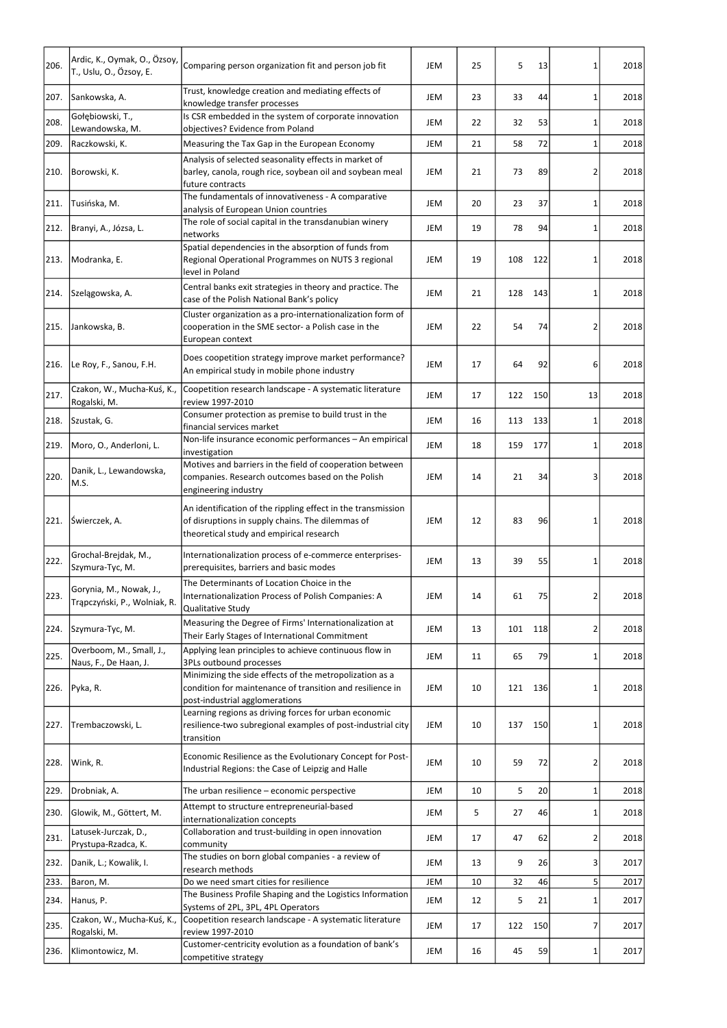| 206. | Ardic, K., Oymak, O., Özsoy,<br>T., Uslu, O., Özsoy, E. | Comparing person organization fit and person job fit                                                                                                         | JEM        | 25 | 5   | 13  | 1              | 2018 |
|------|---------------------------------------------------------|--------------------------------------------------------------------------------------------------------------------------------------------------------------|------------|----|-----|-----|----------------|------|
| 207. | Sankowska, A.                                           | Trust, knowledge creation and mediating effects of<br>knowledge transfer processes                                                                           | <b>JEM</b> | 23 | 33  | 44  | 1              | 2018 |
| 208. | Gołębiowski, T.,                                        | Is CSR embedded in the system of corporate innovation                                                                                                        | JEM        | 22 | 32  | 53  | 1              | 2018 |
|      | Lewandowska, M.                                         | objectives? Evidence from Poland                                                                                                                             |            |    |     |     |                |      |
| 209. | Raczkowski, K.                                          | Measuring the Tax Gap in the European Economy                                                                                                                | JEM        | 21 | 58  | 72  | 1              | 2018 |
| 210. | Borowski, K.                                            | Analysis of selected seasonality effects in market of<br>barley, canola, rough rice, soybean oil and soybean meal<br>future contracts                        | JEM        | 21 | 73  | 89  | 2              | 2018 |
| 211. | Tusińska, M.                                            | The fundamentals of innovativeness - A comparative                                                                                                           | <b>JEM</b> | 20 | 23  | 37  | 1              | 2018 |
|      |                                                         | analysis of European Union countries<br>The role of social capital in the transdanubian winery                                                               |            |    |     |     |                |      |
| 212. | Branyi, A., Józsa, L.                                   | networks                                                                                                                                                     | JEM        | 19 | 78  | 94  | 1              | 2018 |
| 213. | Modranka, E.                                            | Spatial dependencies in the absorption of funds from<br>Regional Operational Programmes on NUTS 3 regional<br>level in Poland                                | JEM        | 19 | 108 | 122 | 1              | 2018 |
| 214. | Szelągowska, A.                                         | Central banks exit strategies in theory and practice. The<br>case of the Polish National Bank's policy                                                       | <b>JEM</b> | 21 | 128 | 143 | 1              | 2018 |
| 215. | Jankowska, B.                                           | Cluster organization as a pro-internationalization form of<br>cooperation in the SME sector- a Polish case in the<br>European context                        | <b>JEM</b> | 22 | 54  | 74  | $\overline{2}$ | 2018 |
| 216. | Le Roy, F., Sanou, F.H.                                 | Does coopetition strategy improve market performance?<br>An empirical study in mobile phone industry                                                         | <b>JEM</b> | 17 | 64  | 92  | $6 \mid$       | 2018 |
| 217. | Czakon, W., Mucha-Kuś, K.,<br>Rogalski, M.              | Coopetition research landscape - A systematic literature<br>review 1997-2010                                                                                 | <b>JEM</b> | 17 | 122 | 150 | 13             | 2018 |
| 218. | Szustak, G.                                             | Consumer protection as premise to build trust in the<br>financial services market                                                                            | <b>JEM</b> | 16 | 113 | 133 | 1              | 2018 |
| 219. | Moro, O., Anderloni, L.                                 | Non-life insurance economic performances - An empirical<br>investigation                                                                                     | <b>JEM</b> | 18 | 159 | 177 | 1              | 2018 |
| 220. | Danik, L., Lewandowska,<br>M.S.                         | Motives and barriers in the field of cooperation between<br>companies. Research outcomes based on the Polish<br>engineering industry                         | <b>JEM</b> | 14 | 21  | 34  | 3              | 2018 |
| 221. | Swierczek, A.                                           | An identification of the rippling effect in the transmission<br>of disruptions in supply chains. The dilemmas of<br>theoretical study and empirical research | <b>JEM</b> | 12 | 83  | 96  | 1              | 2018 |
| 222. | Grochal-Brejdak, M.,<br>Szymura-Tyc, M.                 | Internationalization process of e-commerce enterprises-<br>prerequisites, barriers and basic modes                                                           | <b>JEM</b> | 13 | 39  | 55  | $\mathbf{1}$   | 2018 |
| 223. | Gorynia, M., Nowak, J.,<br>Trąpczyński, P., Wolniak, R. | The Determinants of Location Choice in the<br>Internationalization Process of Polish Companies: A<br>Qualitative Study                                       | <b>JEM</b> | 14 | 61  | 75  | 2              | 2018 |
| 224. | Szymura-Tyc, M.                                         | Measuring the Degree of Firms' Internationalization at<br>Their Early Stages of International Commitment                                                     | JEM        | 13 | 101 | 118 | 2              | 2018 |
| 225. | Overboom, M., Small, J.,<br>Naus, F., De Haan, J.       | Applying lean principles to achieve continuous flow in<br>3PLs outbound processes                                                                            | JEM        | 11 | 65  | 79  | 1              | 2018 |
| 226. | Pyka, R.                                                | Minimizing the side effects of the metropolization as a<br>condition for maintenance of transition and resilience in<br>post-industrial agglomerations       | JEM        | 10 | 121 | 136 | 1              | 2018 |
| 227. | Trembaczowski, L.                                       | Learning regions as driving forces for urban economic<br>resilience-two subregional examples of post-industrial city<br>transition                           | <b>JEM</b> | 10 | 137 | 150 | 1              | 2018 |
| 228. | Wink, R.                                                | Economic Resilience as the Evolutionary Concept for Post-<br>Industrial Regions: the Case of Leipzig and Halle                                               | JEM        | 10 | 59  | 72  | 2              | 2018 |
| 229. | Drobniak, A.                                            | The urban resilience - economic perspective                                                                                                                  | JEM        | 10 | 5   | 20  | 1              | 2018 |
| 230. | Glowik, M., Göttert, M.                                 | Attempt to structure entrepreneurial-based<br>internationalization concepts                                                                                  | JEM        | 5  | 27  | 46  | 1              | 2018 |
| 231. | Latusek-Jurczak, D.,<br>Prystupa-Rzadca, K.             | Collaboration and trust-building in open innovation<br>community                                                                                             | JEM        | 17 | 47  | 62  | 2              | 2018 |
| 232. | Danik, L.; Kowalik, I.                                  | The studies on born global companies - a review of<br>research methods                                                                                       | JEM        | 13 | 9   | 26  | 3              | 2017 |
| 233. | Baron, M.                                               | Do we need smart cities for resilience                                                                                                                       | JEM        | 10 | 32  | 46  | 5 <sup>1</sup> | 2017 |
| 234. | Hanus, P.                                               | The Business Profile Shaping and the Logistics Information<br>Systems of 2PL, 3PL, 4PL Operators                                                             | JEM        | 12 | 5   | 21  | 1              | 2017 |
| 235. | Czakon, W., Mucha-Kuś, K.,<br>Rogalski, M.              | Coopetition research landscape - A systematic literature<br>review 1997-2010                                                                                 | JEM        | 17 | 122 | 150 | 7              | 2017 |
| 236. | Klimontowicz, M.                                        | Customer-centricity evolution as a foundation of bank's<br>competitive strategy                                                                              | JEM        | 16 | 45  | 59  | 1              | 2017 |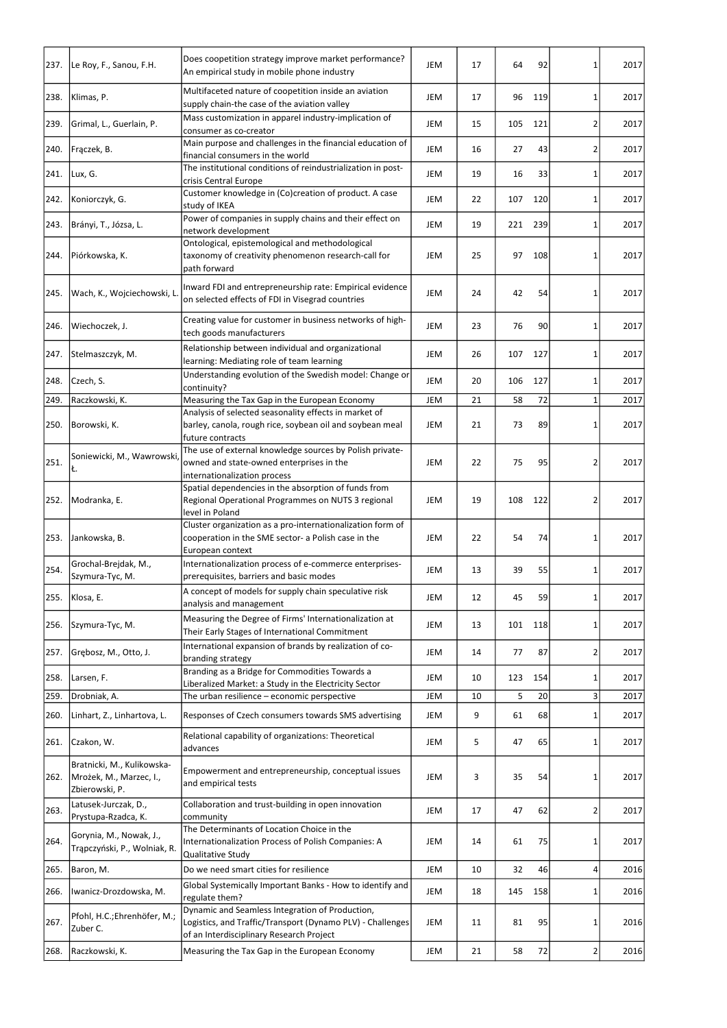| 237. | Le Roy, F., Sanou, F.H.                                                 | Does coopetition strategy improve market performance?<br>An empirical study in mobile phone industry                                  | JEM        | 17 | 64  | 92  | $\mathbf{1}$   | 2017 |
|------|-------------------------------------------------------------------------|---------------------------------------------------------------------------------------------------------------------------------------|------------|----|-----|-----|----------------|------|
| 238. | Klimas, P.                                                              | Multifaceted nature of coopetition inside an aviation<br>supply chain-the case of the aviation valley                                 | JEM        | 17 | 96  | 119 | $\mathbf{1}$   | 2017 |
| 239. | Grimal, L., Guerlain, P.                                                | Mass customization in apparel industry-implication of<br>consumer as co-creator                                                       | JEM        | 15 | 105 | 121 | 2              | 2017 |
| 240. | Frączek, B.                                                             | Main purpose and challenges in the financial education of<br>financial consumers in the world                                         | JEM        | 16 | 27  | 43  | $\overline{2}$ | 2017 |
| 241. | Lux, G.                                                                 | The institutional conditions of reindustrialization in post-<br>crisis Central Europe                                                 | JEM        | 19 | 16  | 33  | 1              | 2017 |
| 242. | Koniorczyk, G.                                                          | Customer knowledge in (Co)creation of product. A case                                                                                 | JEM        | 22 | 107 | 120 | 1              | 2017 |
|      |                                                                         | study of IKEA<br>Power of companies in supply chains and their effect on                                                              |            |    |     |     |                |      |
| 243. | Brányi, T., Józsa, L.                                                   | network development                                                                                                                   | JEM        | 19 | 221 | 239 | 1              | 2017 |
| 244. | Piórkowska, K.                                                          | Ontological, epistemological and methodological<br>taxonomy of creativity phenomenon research-call for<br>path forward                | JEM        | 25 | 97  | 108 | 1              | 2017 |
| 245. | Wach, K., Wojciechowski, L                                              | Inward FDI and entrepreneurship rate: Empirical evidence<br>on selected effects of FDI in Visegrad countries                          | JEM        | 24 | 42  | 54  | 1              | 2017 |
| 246. | Wiechoczek, J.                                                          | Creating value for customer in business networks of high-<br>tech goods manufacturers                                                 | JEM        | 23 | 76  | 90  | $\mathbf{1}$   | 2017 |
| 247. | Stelmaszczyk, M.                                                        | Relationship between individual and organizational<br>learning: Mediating role of team learning                                       | JEM        | 26 | 107 | 127 | 1              | 2017 |
| 248. | Czech, S.                                                               | Understanding evolution of the Swedish model: Change or<br>continuity?                                                                | JEM        | 20 | 106 | 127 | $\mathbf{1}$   | 2017 |
| 249. | Raczkowski, K.                                                          | Measuring the Tax Gap in the European Economy                                                                                         | JEM        | 21 | 58  | 72  | $\mathbf{1}$   | 2017 |
|      | 250. Borowski, K.                                                       | Analysis of selected seasonality effects in market of<br>barley, canola, rough rice, soybean oil and soybean meal<br>future contracts | JEM        | 21 | 73  | 89  | 1              | 2017 |
| 251. | Soniewicki, M., Wawrowski,<br>Ł.                                        | The use of external knowledge sources by Polish private-<br>owned and state-owned enterprises in the<br>internationalization process  | <b>JEM</b> | 22 | 75  | 95  | 2              | 2017 |
| 252. | Modranka, E.                                                            | Spatial dependencies in the absorption of funds from<br>Regional Operational Programmes on NUTS 3 regional<br>level in Poland         | JEM        | 19 | 108 | 122 | 2              | 2017 |
| 253. | Jankowska, B.                                                           | Cluster organization as a pro-internationalization form of<br>cooperation in the SME sector- a Polish case in the                     | JEM        | 22 | 54  | 74  | $\mathbf{1}$   | 2017 |
| 254. | Grochal-Brejdak, M.,<br>Szymura-Tyc, M.                                 | European context<br>Internationalization process of e-commerce enterprises-<br>prerequisites, barriers and basic modes                | <b>JEM</b> | 13 | 39  | 55  | $\mathbf{1}$   | 2017 |
| 255. | Klosa, E.                                                               | A concept of models for supply chain speculative risk<br>analysis and management                                                      | <b>JEM</b> | 12 | 45  | 59  | 1              | 2017 |
| 256. | Szymura-Tyc, M.                                                         | Measuring the Degree of Firms' Internationalization at<br>Their Early Stages of International Commitment                              | JEM        | 13 | 101 | 118 | 1              | 2017 |
| 257. | Grębosz, M., Otto, J.                                                   | International expansion of brands by realization of co-<br>branding strategy                                                          | JEM        | 14 | 77  | 87  | 2              | 2017 |
| 258. | Larsen, F.                                                              | Branding as a Bridge for Commodities Towards a<br>Liberalized Market: a Study in the Electricity Sector                               | <b>JEM</b> | 10 | 123 | 154 | 1              | 2017 |
| 259. | Drobniak, A.                                                            | The urban resilience - economic perspective                                                                                           | JEM        | 10 | 5   | 20  | 3              | 2017 |
| 260. | Linhart, Z., Linhartova, L.                                             | Responses of Czech consumers towards SMS advertising                                                                                  | JEM        | 9  | 61  | 68  | 1              | 2017 |
| 261. | Czakon, W.                                                              | Relational capability of organizations: Theoretical<br>advances                                                                       | JEM        | 5  | 47  | 65  | 1              | 2017 |
| 262. | Bratnicki, M., Kulikowska-<br>Mrożek, M., Marzec, I.,<br>Zbierowski, P. | Empowerment and entrepreneurship, conceptual issues<br>and empirical tests                                                            | JEM        | 3  | 35  | 54  | 1              | 2017 |
| 263. | Latusek-Jurczak, D.,<br>Prystupa-Rzadca, K.                             | Collaboration and trust-building in open innovation<br>community                                                                      | JEM        | 17 | 47  | 62  | 2              | 2017 |
| 264. | Gorynia, M., Nowak, J.,<br>Trąpczyński, P., Wolniak, R.                 | The Determinants of Location Choice in the<br>Internationalization Process of Polish Companies: A                                     | JEM        | 14 | 61  | 75  | 1              | 2017 |
| 265. | Baron, M.                                                               | Qualitative Study<br>Do we need smart cities for resilience                                                                           | JEM        | 10 | 32  | 46  | 4              | 2016 |
| 266. | Iwanicz-Drozdowska, M.                                                  | Global Systemically Important Banks - How to identify and                                                                             | JEM        | 18 | 145 | 158 | 1              | 2016 |
| 267. | Pfohl, H.C.;Ehrenhöfer, M.;<br>Zuber C.                                 | regulate them?<br>Dynamic and Seamless Integration of Production,<br>Logistics, and Traffic/Transport (Dynamo PLV) - Challenges       | JEM        | 11 | 81  | 95  | 1              | 2016 |
| 268. | Raczkowski, K.                                                          | of an Interdisciplinary Research Project<br>Measuring the Tax Gap in the European Economy                                             | JEM        | 21 | 58  | 72  | $\overline{2}$ | 2016 |
|      |                                                                         |                                                                                                                                       |            |    |     |     |                |      |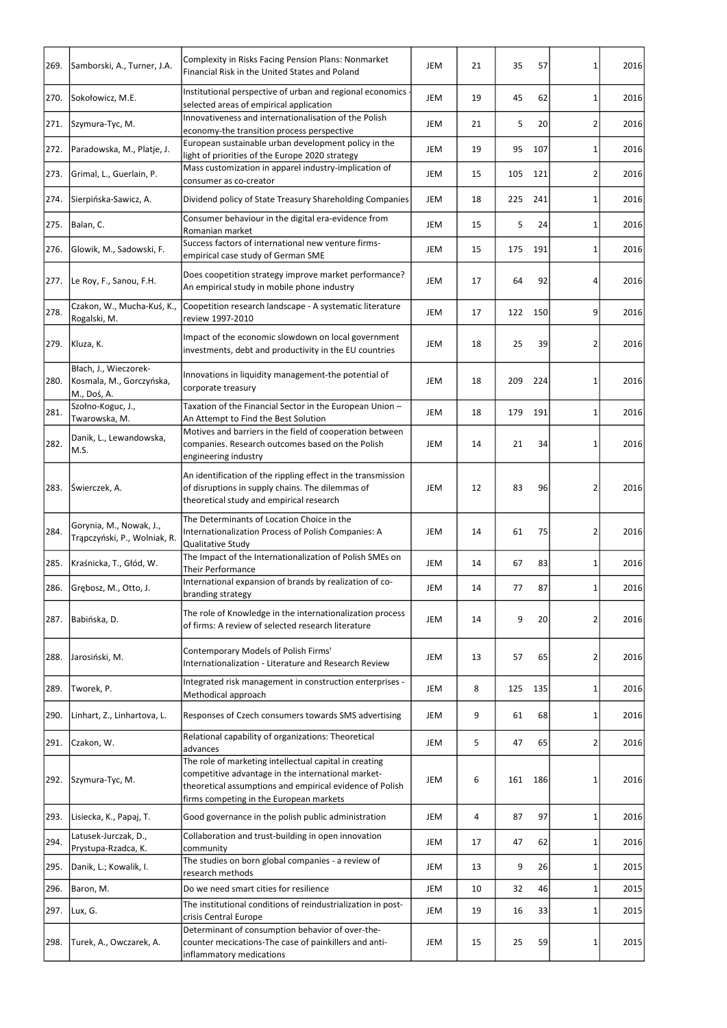| 269. | Samborski, A., Turner, J.A.                                      | <b>Complexity in Risks Facing Pension Plans: Nonmarket</b><br>Financial Risk in the United States and Poland                                                                                                        | <b>JEM</b> | 21 | 35  | 57  | 1              | 2016 |
|------|------------------------------------------------------------------|---------------------------------------------------------------------------------------------------------------------------------------------------------------------------------------------------------------------|------------|----|-----|-----|----------------|------|
| 270. | Sokołowicz, M.E.                                                 | Institutional perspective of urban and regional economics<br>selected areas of empirical application                                                                                                                | JEM        | 19 | 45  | 62  | 1              | 2016 |
| 271. | Szymura-Tyc, M.                                                  | Innovativeness and internationalisation of the Polish<br>economy-the transition process perspective                                                                                                                 | JEM        | 21 | 5   | 20  | 2              | 2016 |
| 272. | Paradowska, M., Platje, J.                                       | European sustainable urban development policy in the<br>light of priorities of the Europe 2020 strategy                                                                                                             | JEM        | 19 | 95  | 107 | 1              | 2016 |
| 273. | Grimal, L., Guerlain, P.                                         | Mass customization in apparel industry-implication of<br>consumer as co-creator                                                                                                                                     | JEM        | 15 | 105 | 121 | 2              | 2016 |
| 274. | Sierpińska-Sawicz, A.                                            | Dividend policy of State Treasury Shareholding Companies                                                                                                                                                            | JEM        | 18 | 225 | 241 | 1              | 2016 |
| 275. | Balan, C.                                                        | Consumer behaviour in the digital era-evidence from<br>Romanian market                                                                                                                                              | JEM        | 15 | 5   | 24  | 1              | 2016 |
| 276. | Glowik, M., Sadowski, F.                                         | Success factors of international new venture firms-<br>empirical case study of German SME                                                                                                                           | JEM        | 15 | 175 | 191 | 1              | 2016 |
| 277. | Le Roy, F., Sanou, F.H.                                          | Does coopetition strategy improve market performance?<br>An empirical study in mobile phone industry                                                                                                                | JEM        | 17 | 64  | 92  | 4              | 2016 |
| 278. | Czakon, W., Mucha-Kuś, K.,<br>Rogalski, M.                       | Coopetition research landscape - A systematic literature<br>review 1997-2010                                                                                                                                        | JEM        | 17 | 122 | 150 | 9              | 2016 |
| 279. | Kluza, K.                                                        | Impact of the economic slowdown on local government<br>investments, debt and productivity in the EU countries                                                                                                       | JEM        | 18 | 25  | 39  | 2              | 2016 |
| 280. | Błach, J., Wieczorek-<br>Kosmala, M., Gorczyńska,<br>M., Doś, A. | Innovations in liquidity management-the potential of<br>corporate treasury                                                                                                                                          | JEM        | 18 | 209 | 224 | 1              | 2016 |
| 281. | Szołno-Koguc, J.,<br>Twarowska, M.                               | Taxation of the Financial Sector in the European Union -<br>An Attempt to Find the Best Solution                                                                                                                    | JEM        | 18 | 179 | 191 | 1              | 2016 |
| 282. | Danik, L., Lewandowska,<br>M.S.                                  | Motives and barriers in the field of cooperation between<br>companies. Research outcomes based on the Polish<br>engineering industry                                                                                | JEM        | 14 | 21  | 34  | 1              | 2016 |
| 283. | Swierczek, A.                                                    | An identification of the rippling effect in the transmission<br>of disruptions in supply chains. The dilemmas of<br>theoretical study and empirical research                                                        | JEM        | 12 | 83  | 96  | $\overline{2}$ | 2016 |
| 284. | Gorynia, M., Nowak, J.,<br>Trąpczyński, P., Wolniak, R.          | The Determinants of Location Choice in the<br>Internationalization Process of Polish Companies: A<br>Qualitative Study                                                                                              | JEM        | 14 | 61  | 75  | $\overline{2}$ | 2016 |
| 285. | Kraśnicka, T., Głód, W.                                          | The Impact of the Internationalization of Polish SMEs on<br>Their Performance                                                                                                                                       | JEM        | 14 | 67  | 83  | $\mathbf{1}$   | 2016 |
| 286. | Grębosz, M., Otto, J.                                            | International expansion of brands by realization of co-<br>branding strategy                                                                                                                                        | JEM        | 14 | 77  | 87  | 1              | 2016 |
| 287. | Babińska, D.                                                     | The role of Knowledge in the internationalization process<br>of firms: A review of selected research literature                                                                                                     | JEM        | 14 | 9   | 20  | 2              | 2016 |
| 288. | Jarosiński, M.                                                   | Contemporary Models of Polish Firms'<br>Internationalization - Literature and Research Review                                                                                                                       | JEM        | 13 | 57  | 65  | 2              | 2016 |
| 289. | Tworek, P.                                                       | Integrated risk management in construction enterprises -<br>Methodical approach                                                                                                                                     | JEM        | 8  | 125 | 135 | 1              | 2016 |
| 290. | Linhart, Z., Linhartova, L.                                      | Responses of Czech consumers towards SMS advertising                                                                                                                                                                | JEM        | 9  | 61  | 68  | $\mathbf{1}$   | 2016 |
| 291. | Czakon, W.                                                       | Relational capability of organizations: Theoretical<br>advances                                                                                                                                                     | JEM        | 5  | 47  | 65  | $\overline{2}$ | 2016 |
| 292. | Szymura-Tyc, M.                                                  | The role of marketing intellectual capital in creating<br>competitive advantage in the international market-<br>theoretical assumptions and empirical evidence of Polish<br>firms competing in the European markets | JEM        | 6  | 161 | 186 | 1              | 2016 |
| 293. | Lisiecka, K., Papaj, T.                                          | Good governance in the polish public administration                                                                                                                                                                 | JEM        | 4  | 87  | 97  | 1 <sup>1</sup> | 2016 |
| 294. | Latusek-Jurczak, D.,<br>Prystupa-Rzadca, K.                      | Collaboration and trust-building in open innovation<br>community                                                                                                                                                    | JEM        | 17 | 47  | 62  | 1              | 2016 |
| 295. | Danik, L.; Kowalik, I.                                           | The studies on born global companies - a review of<br>research methods                                                                                                                                              | JEM        | 13 | 9   | 26  | 1              | 2015 |
| 296. | Baron, M.                                                        | Do we need smart cities for resilience                                                                                                                                                                              | JEM        | 10 | 32  | 46  | 1              | 2015 |
| 297. | Lux, G.                                                          | The institutional conditions of reindustrialization in post-<br>crisis Central Europe                                                                                                                               | JEM        | 19 | 16  | 33  | 1              | 2015 |
| 298. | Turek, A., Owczarek, A.                                          | Determinant of consumption behavior of over-the-<br>counter mecications-The case of painkillers and anti-<br>inflammatory medications                                                                               | JEM        | 15 | 25  | 59  | $\mathbf{1}$   | 2015 |